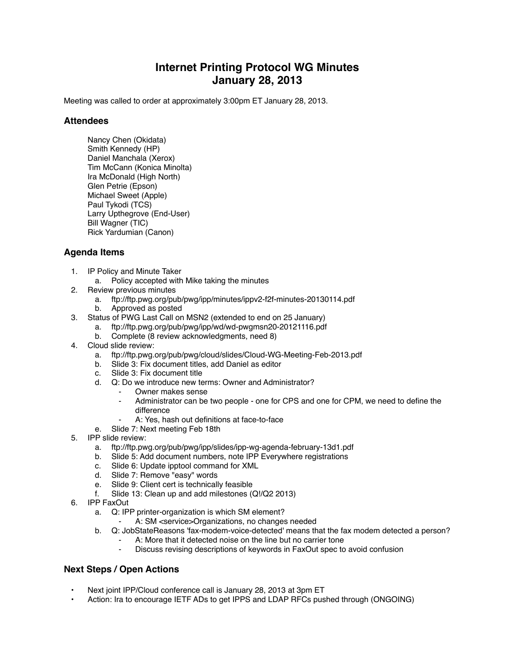## **Internet Printing Protocol WG Minutes January 28, 2013**

Meeting was called to order at approximately 3:00pm ET January 28, 2013.

## **Attendees**

Nancy Chen (Okidata) Smith Kennedy (HP) Daniel Manchala (Xerox) Tim McCann (Konica Minolta) Ira McDonald (High North) Glen Petrie (Epson) Michael Sweet (Apple) Paul Tykodi (TCS) Larry Upthegrove (End-User) Bill Wagner (TIC) Rick Yardumian (Canon)

## **Agenda Items**

- 1. IP Policy and Minute Taker
	- a. Policy accepted with Mike taking the minutes
- 2. Review previous minutes
	- a. ftp://ftp.pwg.org/pub/pwg/ipp/minutes/ippv2-f2f-minutes-20130114.pdf
	- b. Approved as posted
- 3. Status of PWG Last Call on MSN2 (extended to end on 25 January)
	- a. ftp://ftp.pwg.org/pub/pwg/ipp/wd/wd-pwgmsn20-20121116.pdf
		- b. Complete (8 review acknowledgments, need 8)
- 4. Cloud slide review:
	- a. ftp://ftp.pwg.org/pub/pwg/cloud/slides/Cloud-WG-Meeting-Feb-2013.pdf
	- b. Slide 3: Fix document titles, add Daniel as editor
	- c. Slide 3: Fix document title
	- d. Q: Do we introduce new terms: Owner and Administrator?
		- Owner makes sense
		- Administrator can be two people one for CPS and one for CPM, we need to define the difference
		- A: Yes, hash out definitions at face-to-face
	- e. Slide 7: Next meeting Feb 18th
- 5. IPP slide review:
	- a. ftp://ftp.pwg.org/pub/pwg/ipp/slides/ipp-wg-agenda-february-13d1.pdf
	- b. Slide 5: Add document numbers, note IPP Everywhere registrations
	- c. Slide 6: Update ipptool command for XML<br>d. Slide 7: Remove "easy" words
	- Slide 7: Remove "easy" words
	- e. Slide 9: Client cert is technically feasible
	- f. Slide 13: Clean up and add milestones (Q!/Q2 2013)
- 6. IPP FaxOut
	- a. Q: IPP printer-organization is which SM element?
		- A: SM <service>Organizations, no changes needed
	- b. Q: JobStateReasons 'fax-modem-voice-detected' means that the fax modem detected a person?
		- A: More that it detected noise on the line but no carrier tone
		- Discuss revising descriptions of keywords in FaxOut spec to avoid confusion

## **Next Steps / Open Actions**

- Next joint IPP/Cloud conference call is January 28, 2013 at 3pm ET
- Action: Ira to encourage IETF ADs to get IPPS and LDAP RFCs pushed through (ONGOING)